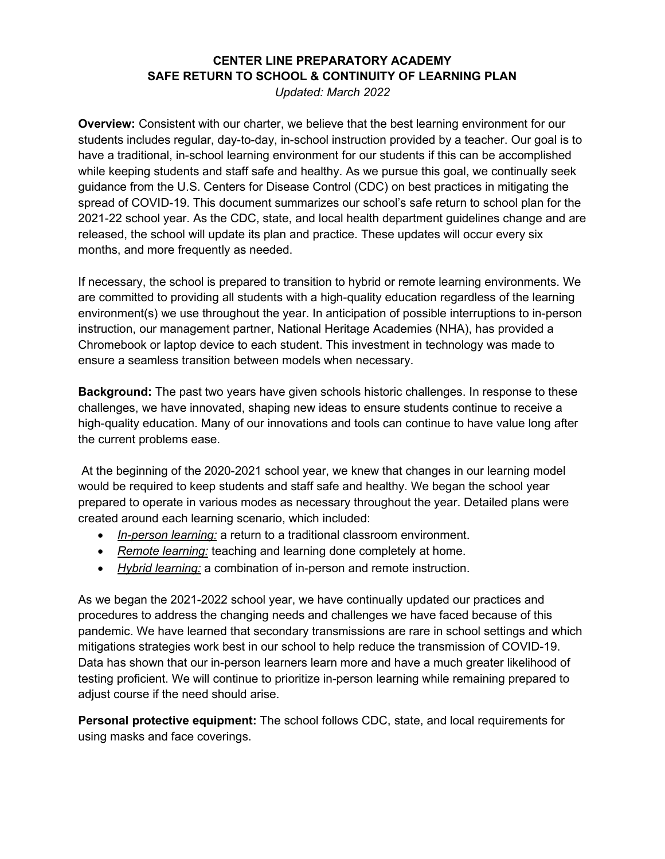## **CENTER LINE PREPARATORY ACADEMY SAFE RETURN TO SCHOOL & CONTINUITY OF LEARNING PLAN**

*Updated: March 2022* 

**Overview:** Consistent with our charter, we believe that the best learning environment for our students includes regular, day-to-day, in-school instruction provided by a teacher. Our goal is to have a traditional, in-school learning environment for our students if this can be accomplished while keeping students and staff safe and healthy. As we pursue this goal, we continually seek guidance from the U.S. Centers for Disease Control (CDC) on best practices in mitigating the spread of COVID-19. This document summarizes our school's safe return to school plan for the 2021-22 school year. As the CDC, state, and local health department guidelines change and are released, the school will update its plan and practice. These updates will occur every six months, and more frequently as needed.

If necessary, the school is prepared to transition to hybrid or remote learning environments. We are committed to providing all students with a high-quality education regardless of the learning environment(s) we use throughout the year. In anticipation of possible interruptions to in-person instruction, our management partner, National Heritage Academies (NHA), has provided a Chromebook or laptop device to each student. This investment in technology was made to ensure a seamless transition between models when necessary.

**Background:** The past two years have given schools historic challenges. In response to these challenges, we have innovated, shaping new ideas to ensure students continue to receive a high-quality education. Many of our innovations and tools can continue to have value long after the current problems ease.

At the beginning of the 2020-2021 school year, we knew that changes in our learning model would be required to keep students and staff safe and healthy. We began the school year prepared to operate in various modes as necessary throughout the year. Detailed plans were created around each learning scenario, which included:

- *In-person learning:* a return to a traditional classroom environment.
- *Remote learning:* teaching and learning done completely at home.
- *Hybrid learning:* a combination of in-person and remote instruction.

As we began the 2021-2022 school year, we have continually updated our practices and procedures to address the changing needs and challenges we have faced because of this pandemic. We have learned that secondary transmissions are rare in school settings and which mitigations strategies work best in our school to help reduce the transmission of COVID-19. Data has shown that our in-person learners learn more and have a much greater likelihood of testing proficient. We will continue to prioritize in-person learning while remaining prepared to adjust course if the need should arise.

**Personal protective equipment:** The school follows CDC, state, and local requirements for using masks and face coverings.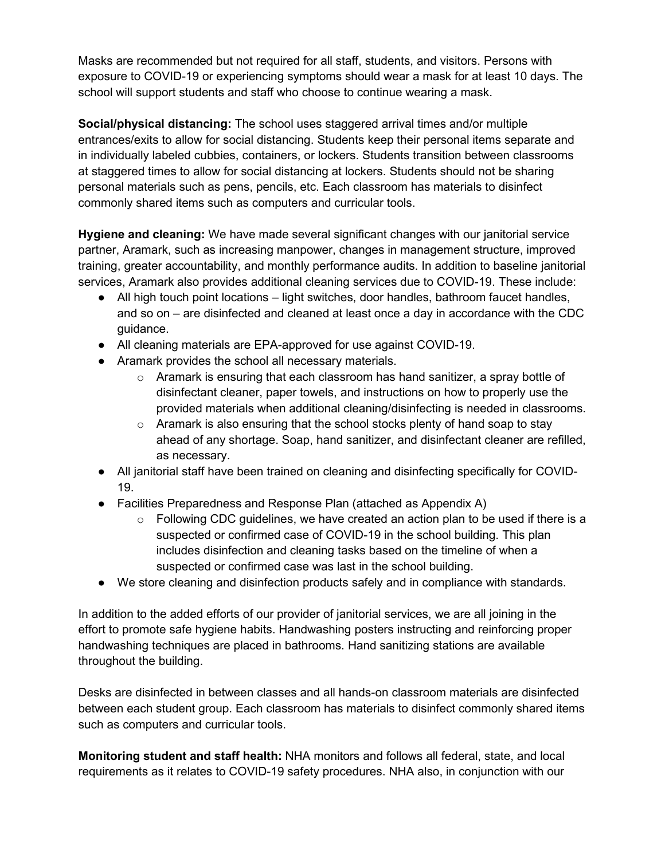Masks are recommended but not required for all staff, students, and visitors. Persons with exposure to COVID-19 or experiencing symptoms should wear a mask for at least 10 days. The school will support students and staff who choose to continue wearing a mask.

**Social/physical distancing:** The school uses staggered arrival times and/or multiple entrances/exits to allow for social distancing. Students keep their personal items separate and in individually labeled cubbies, containers, or lockers. Students transition between classrooms at staggered times to allow for social distancing at lockers. Students should not be sharing personal materials such as pens, pencils, etc. Each classroom has materials to disinfect commonly shared items such as computers and curricular tools.

**Hygiene and cleaning:** We have made several significant changes with our janitorial service partner, Aramark, such as increasing manpower, changes in management structure, improved training, greater accountability, and monthly performance audits. In addition to baseline janitorial services, Aramark also provides additional cleaning services due to COVID-19. These include:

- All high touch point locations light switches, door handles, bathroom faucet handles, and so on – are disinfected and cleaned at least once a day in accordance with the CDC guidance.
- All cleaning materials are EPA-approved for use against COVID-19.
- Aramark provides the school all necessary materials.
	- $\circ$  Aramark is ensuring that each classroom has hand sanitizer, a spray bottle of disinfectant cleaner, paper towels, and instructions on how to properly use the provided materials when additional cleaning/disinfecting is needed in classrooms.
	- o Aramark is also ensuring that the school stocks plenty of hand soap to stay ahead of any shortage. Soap, hand sanitizer, and disinfectant cleaner are refilled, as necessary.
- All janitorial staff have been trained on cleaning and disinfecting specifically for COVID-19.
- Facilities Preparedness and Response Plan (attached as Appendix A)
	- $\circ$  Following CDC guidelines, we have created an action plan to be used if there is a suspected or confirmed case of COVID-19 in the school building. This plan includes disinfection and cleaning tasks based on the timeline of when a suspected or confirmed case was last in the school building.
- We store cleaning and disinfection products safely and in compliance with standards.

In addition to the added efforts of our provider of janitorial services, we are all joining in the effort to promote safe hygiene habits. Handwashing posters instructing and reinforcing proper handwashing techniques are placed in bathrooms. Hand sanitizing stations are available throughout the building.

Desks are disinfected in between classes and all hands-on classroom materials are disinfected between each student group. Each classroom has materials to disinfect commonly shared items such as computers and curricular tools.

**Monitoring student and staff health:** NHA monitors and follows all federal, state, and local requirements as it relates to COVID-19 safety procedures. NHA also, in conjunction with our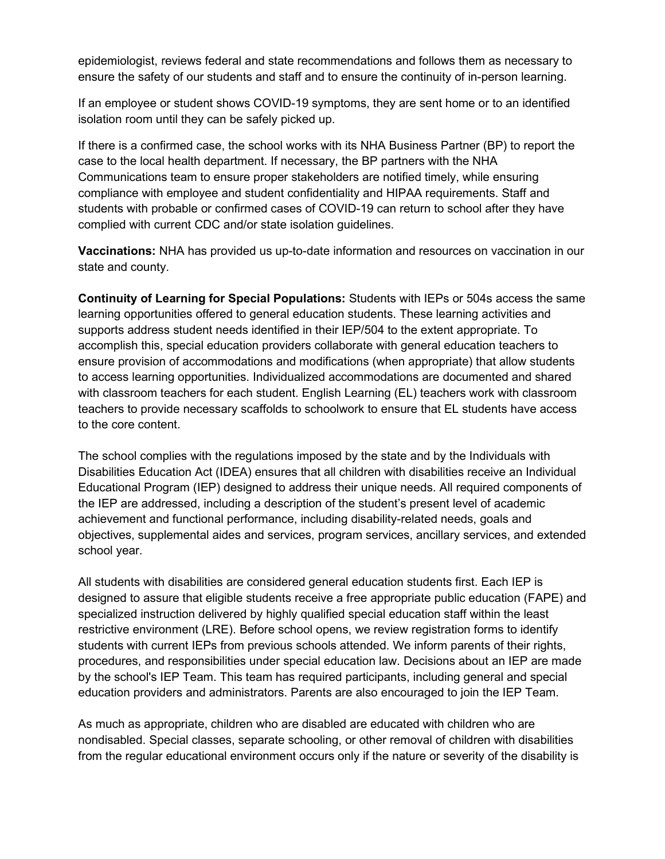epidemiologist, reviews federal and state recommendations and follows them as necessary to ensure the safety of our students and staff and to ensure the continuity of in-person learning.

If an employee or student shows COVID-19 symptoms, they are sent home or to an identified isolation room until they can be safely picked up.

If there is a confirmed case, the school works with its NHA Business Partner (BP) to report the case to the local health department. If necessary, the BP partners with the NHA Communications team to ensure proper stakeholders are notified timely, while ensuring compliance with employee and student confidentiality and HIPAA requirements. Staff and students with probable or confirmed cases of COVID-19 can return to school after they have complied with current CDC and/or state isolation guidelines.

**Vaccinations:** NHA has provided us up-to-date information and resources on vaccination in our state and county.

**Continuity of Learning for Special Populations:** Students with IEPs or 504s access the same learning opportunities offered to general education students. These learning activities and supports address student needs identified in their IEP/504 to the extent appropriate. To accomplish this, special education providers collaborate with general education teachers to ensure provision of accommodations and modifications (when appropriate) that allow students to access learning opportunities. Individualized accommodations are documented and shared with classroom teachers for each student. English Learning (EL) teachers work with classroom teachers to provide necessary scaffolds to schoolwork to ensure that EL students have access to the core content.

The school complies with the regulations imposed by the state and by the Individuals with Disabilities Education Act (IDEA) ensures that all children with disabilities receive an Individual Educational Program (IEP) designed to address their unique needs. All required components of the IEP are addressed, including a description of the student's present level of academic achievement and functional performance, including disability-related needs, goals and objectives, supplemental aides and services, program services, ancillary services, and extended school year.

All students with disabilities are considered general education students first. Each IEP is designed to assure that eligible students receive a free appropriate public education (FAPE) and specialized instruction delivered by highly qualified special education staff within the least restrictive environment (LRE). Before school opens, we review registration forms to identify students with current IEPs from previous schools attended. We inform parents of their rights, procedures, and responsibilities under special education law. Decisions about an IEP are made by the school's IEP Team. This team has required participants, including general and special education providers and administrators. Parents are also encouraged to join the IEP Team.

As much as appropriate, children who are disabled are educated with children who are nondisabled. Special classes, separate schooling, or other removal of children with disabilities from the regular educational environment occurs only if the nature or severity of the disability is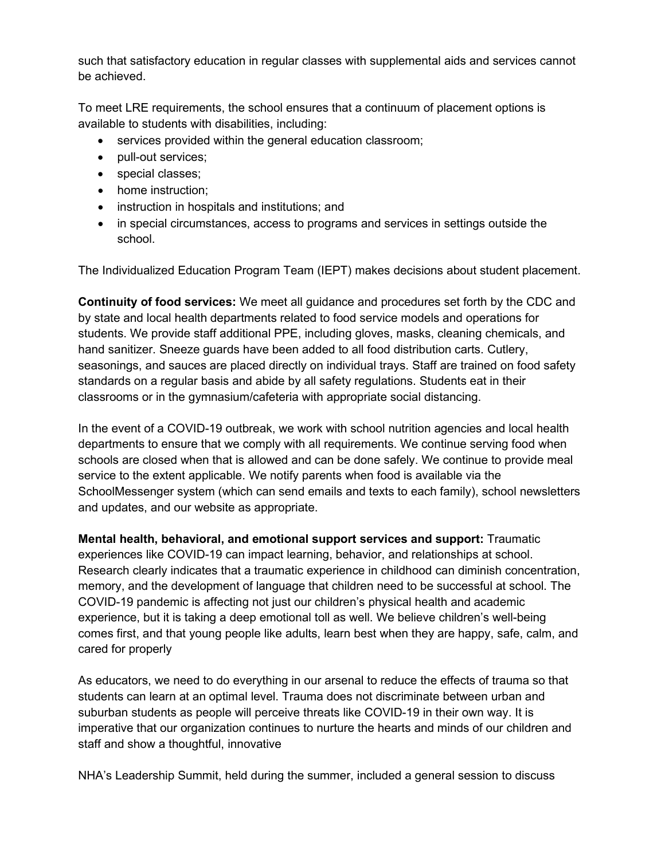such that satisfactory education in regular classes with supplemental aids and services cannot be achieved.

To meet LRE requirements, the school ensures that a continuum of placement options is available to students with disabilities, including:

- services provided within the general education classroom;
- pull-out services;
- special classes;
- home instruction;
- instruction in hospitals and institutions; and
- in special circumstances, access to programs and services in settings outside the school.

The Individualized Education Program Team (IEPT) makes decisions about student placement.

**Continuity of food services:** We meet all guidance and procedures set forth by the CDC and by state and local health departments related to food service models and operations for students. We provide staff additional PPE, including gloves, masks, cleaning chemicals, and hand sanitizer. Sneeze guards have been added to all food distribution carts. Cutlery, seasonings, and sauces are placed directly on individual trays. Staff are trained on food safety standards on a regular basis and abide by all safety regulations. Students eat in their classrooms or in the gymnasium/cafeteria with appropriate social distancing.

In the event of a COVID-19 outbreak, we work with school nutrition agencies and local health departments to ensure that we comply with all requirements. We continue serving food when schools are closed when that is allowed and can be done safely. We continue to provide meal service to the extent applicable. We notify parents when food is available via the SchoolMessenger system (which can send emails and texts to each family), school newsletters and updates, and our website as appropriate.

**Mental health, behavioral, and emotional support services and support:** Traumatic experiences like COVID-19 can impact learning, behavior, and relationships at school. Research clearly indicates that a traumatic experience in childhood can diminish concentration, memory, and the development of language that children need to be successful at school. The COVID-19 pandemic is affecting not just our children's physical health and academic experience, but it is taking a deep emotional toll as well. We believe children's well-being comes first, and that young people like adults, learn best when they are happy, safe, calm, and cared for properly

As educators, we need to do everything in our arsenal to reduce the effects of trauma so that students can learn at an optimal level. Trauma does not discriminate between urban and suburban students as people will perceive threats like COVID-19 in their own way. It is imperative that our organization continues to nurture the hearts and minds of our children and staff and show a thoughtful, innovative

NHA's Leadership Summit, held during the summer, included a general session to discuss